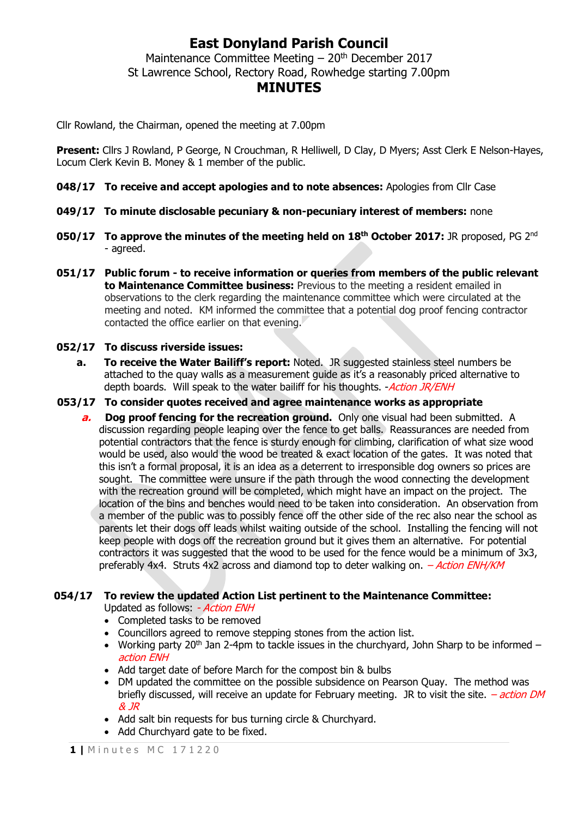# **East Donyland Parish Council**

Maintenance Committee Meeting  $-20<sup>th</sup>$  December 2017 St Lawrence School, Rectory Road, Rowhedge starting 7.00pm

### **MINUTES**

Cllr Rowland, the Chairman, opened the meeting at 7.00pm

**Present:** Cllrs J Rowland, P George, N Crouchman, R Helliwell, D Clay, D Myers; Asst Clerk E Nelson-Hayes, Locum Clerk Kevin B. Money & 1 member of the public.

- **048/17 To receive and accept apologies and to note absences:** Apologies from Cllr Case
- **049/17 To minute disclosable pecuniary & non-pecuniary interest of members:** none
- **050/17 To approve the minutes of the meeting held on 18th October 2017:** JR proposed, PG 2 nd - agreed.
- **051/17 Public forum - to receive information or queries from members of the public relevant to Maintenance Committee business:** Previous to the meeting a resident emailed in observations to the clerk regarding the maintenance committee which were circulated at the meeting and noted. KM informed the committee that a potential dog proof fencing contractor contacted the office earlier on that evening.

### **052/17 To discuss riverside issues:**

- **a. To receive the Water Bailiff's report:** Noted. JR suggested stainless steel numbers be attached to the quay walls as a measurement guide as it's a reasonably priced alternative to depth boards. Will speak to the water bailiff for his thoughts. - *Action JR/ENH*
- **053/17 To consider quotes received and agree maintenance works as appropriate**
	- **a.** Dog proof fencing for the recreation ground. Only one visual had been submitted. A discussion regarding people leaping over the fence to get balls. Reassurances are needed from potential contractors that the fence is sturdy enough for climbing, clarification of what size wood would be used, also would the wood be treated & exact location of the gates. It was noted that this isn't a formal proposal, it is an idea as a deterrent to irresponsible dog owners so prices are sought. The committee were unsure if the path through the wood connecting the development with the recreation ground will be completed, which might have an impact on the project. The location of the bins and benches would need to be taken into consideration. An observation from a member of the public was to possibly fence off the other side of the rec also near the school as parents let their dogs off leads whilst waiting outside of the school. Installing the fencing will not keep people with dogs off the recreation ground but it gives them an alternative. For potential contractors it was suggested that the wood to be used for the fence would be a minimum of 3x3, preferably 4x4. Struts 4x2 across and diamond top to deter walking on.  $-Action$  ENH/KM

#### **054/17 To review the updated Action List pertinent to the Maintenance Committee:**

Updated as follows: - Action ENH

- Completed tasks to be removed
- Councillors agreed to remove stepping stones from the action list.
- Working party 20<sup>th</sup> Jan 2-4pm to tackle issues in the churchyard, John Sharp to be informed  $$ action ENH
- Add target date of before March for the compost bin & bulbs
- DM updated the committee on the possible subsidence on Pearson Quay. The method was briefly discussed, will receive an update for February meeting. JR to visit the site.  $-$  action DM & JR
- Add salt bin requests for bus turning circle & Churchyard.
- Add Churchyard gate to be fixed.